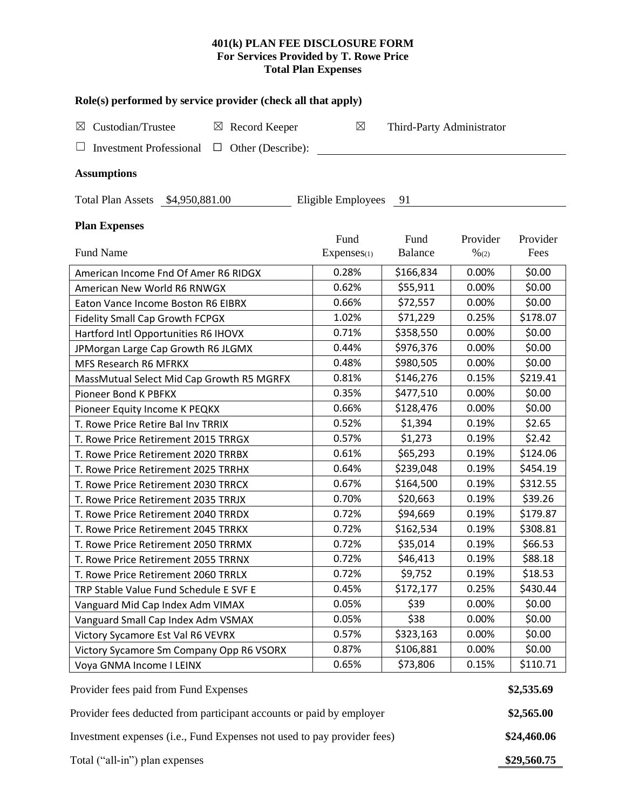# **401(k) PLAN FEE DISCLOSURE FORM For Services Provided by T. Rowe Price Total Plan Expenses**

| Role(s) performed by service provider (check all that apply)                           |                    |                           |          |             |  |  |  |  |  |
|----------------------------------------------------------------------------------------|--------------------|---------------------------|----------|-------------|--|--|--|--|--|
| Custodian/Trustee<br>$\boxtimes$ Record Keeper<br>⊠                                    | $\boxtimes$        | Third-Party Administrator |          |             |  |  |  |  |  |
| Investment Professional $\Box$ Other (Describe):                                       |                    |                           |          |             |  |  |  |  |  |
| <b>Assumptions</b>                                                                     |                    |                           |          |             |  |  |  |  |  |
| Total Plan Assets \$4,950,881.00                                                       | Eligible Employees | - 91                      |          |             |  |  |  |  |  |
| <b>Plan Expenses</b>                                                                   |                    |                           |          |             |  |  |  |  |  |
|                                                                                        | Fund               | Fund                      | Provider | Provider    |  |  |  |  |  |
| <b>Fund Name</b>                                                                       | Expenses(1)        | <b>Balance</b>            | % (2)    | Fees        |  |  |  |  |  |
| American Income Fnd Of Amer R6 RIDGX                                                   | 0.28%              | \$166,834                 | 0.00%    | \$0.00      |  |  |  |  |  |
| American New World R6 RNWGX                                                            | 0.62%              | \$55,911                  | 0.00%    | \$0.00      |  |  |  |  |  |
| Eaton Vance Income Boston R6 EIBRX                                                     | 0.66%              | \$72,557                  | 0.00%    | \$0.00      |  |  |  |  |  |
| <b>Fidelity Small Cap Growth FCPGX</b>                                                 | 1.02%              | \$71,229                  | 0.25%    | \$178.07    |  |  |  |  |  |
| Hartford Intl Opportunities R6 IHOVX                                                   | 0.71%              | \$358,550                 | 0.00%    | \$0.00      |  |  |  |  |  |
| JPMorgan Large Cap Growth R6 JLGMX                                                     | 0.44%              | \$976,376                 | 0.00%    | \$0.00      |  |  |  |  |  |
| MFS Research R6 MFRKX                                                                  | 0.48%              | \$980,505                 | 0.00%    | \$0.00      |  |  |  |  |  |
| MassMutual Select Mid Cap Growth R5 MGRFX                                              | 0.81%              | \$146,276                 | 0.15%    | \$219.41    |  |  |  |  |  |
| Pioneer Bond K PBFKX                                                                   | 0.35%              | \$477,510                 | 0.00%    | \$0.00      |  |  |  |  |  |
| Pioneer Equity Income K PEQKX                                                          | 0.66%              | \$128,476                 | 0.00%    | \$0.00      |  |  |  |  |  |
| T. Rowe Price Retire Bal Inv TRRIX                                                     | 0.52%              | \$1,394                   | 0.19%    | \$2.65      |  |  |  |  |  |
| T. Rowe Price Retirement 2015 TRRGX                                                    | 0.57%              | \$1,273                   | 0.19%    | \$2.42      |  |  |  |  |  |
| T. Rowe Price Retirement 2020 TRRBX                                                    | 0.61%              | \$65,293                  | 0.19%    | \$124.06    |  |  |  |  |  |
| T. Rowe Price Retirement 2025 TRRHX                                                    | 0.64%              | \$239,048                 | 0.19%    | \$454.19    |  |  |  |  |  |
| T. Rowe Price Retirement 2030 TRRCX                                                    | 0.67%              | \$164,500                 | 0.19%    | \$312.55    |  |  |  |  |  |
| T. Rowe Price Retirement 2035 TRRJX                                                    | 0.70%              | \$20,663                  | 0.19%    | \$39.26     |  |  |  |  |  |
| T. Rowe Price Retirement 2040 TRRDX                                                    | 0.72%              | \$94,669                  | 0.19%    | \$179.87    |  |  |  |  |  |
| T. Rowe Price Retirement 2045 TRRKX                                                    | 0.72%              | \$162,534                 | 0.19%    | \$308.81    |  |  |  |  |  |
| T. Rowe Price Retirement 2050 TRRMX                                                    | 0.72%              | \$35,014                  | 0.19%    | \$66.53     |  |  |  |  |  |
| T. Rowe Price Retirement 2055 TRRNX                                                    | 0.72%              | \$46,413                  | 0.19%    | \$88.18     |  |  |  |  |  |
| T. Rowe Price Retirement 2060 TRRLX                                                    | 0.72%              | \$9,752                   | 0.19%    | \$18.53     |  |  |  |  |  |
| TRP Stable Value Fund Schedule E SVF E                                                 | 0.45%              | \$172,177                 | 0.25%    | \$430.44    |  |  |  |  |  |
| Vanguard Mid Cap Index Adm VIMAX                                                       | 0.05%              | \$39                      | 0.00%    | \$0.00      |  |  |  |  |  |
| Vanguard Small Cap Index Adm VSMAX                                                     | 0.05%              | \$38                      | 0.00%    | \$0.00      |  |  |  |  |  |
| Victory Sycamore Est Val R6 VEVRX                                                      | 0.57%              | \$323,163                 | 0.00%    | \$0.00      |  |  |  |  |  |
| Victory Sycamore Sm Company Opp R6 VSORX                                               | 0.87%              | \$106,881                 | 0.00%    | \$0.00      |  |  |  |  |  |
| Voya GNMA Income I LEINX                                                               | 0.65%              | \$73,806                  | 0.15%    | \$110.71    |  |  |  |  |  |
| Provider fees paid from Fund Expenses                                                  |                    |                           |          |             |  |  |  |  |  |
| Provider fees deducted from participant accounts or paid by employer                   |                    |                           |          |             |  |  |  |  |  |
| Investment expenses (i.e., Fund Expenses not used to pay provider fees)<br>\$24,460.06 |                    |                           |          |             |  |  |  |  |  |
| Total ("all-in") plan expenses                                                         |                    |                           |          | \$29,560.75 |  |  |  |  |  |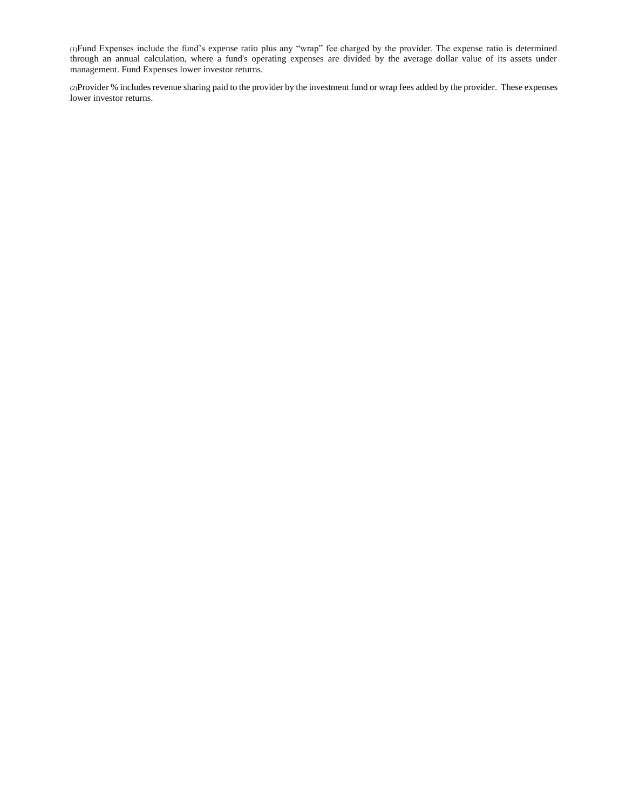(1)Fund Expenses include the fund's expense ratio plus any "wrap" fee charged by the provider. The expense ratio is determined through an annual calculation, where a fund's operating expenses are divided by the average dollar value of its assets under management. Fund Expenses lower investor returns.

(2)Provider % includes revenue sharing paid to the provider by the investment fund or wrap fees added by the provider. These expenses lower investor returns.